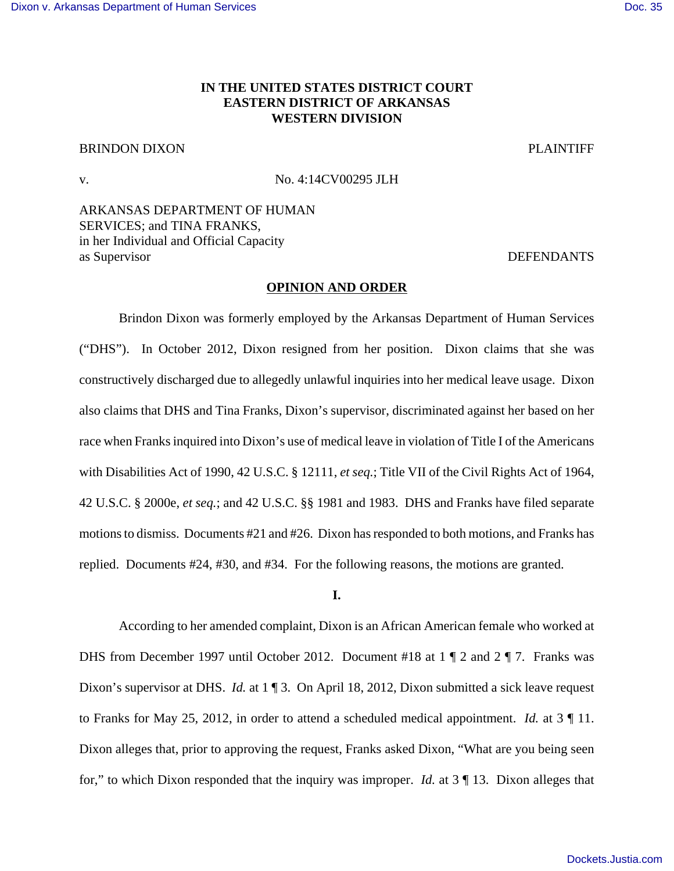# **IN THE UNITED STATES DISTRICT COURT EASTERN DISTRICT OF ARKANSAS WESTERN DIVISION**

# BRINDON DIXON PLAINTIFF

v. No. 4:14CV00295 JLH

ARKANSAS DEPARTMENT OF HUMAN SERVICES; and TINA FRANKS, in her Individual and Official Capacity as Supervisor DEFENDANTS

#### **OPINION AND ORDER**

Brindon Dixon was formerly employed by the Arkansas Department of Human Services ("DHS"). In October 2012, Dixon resigned from her position. Dixon claims that she was constructively discharged due to allegedly unlawful inquiries into her medical leave usage. Dixon also claims that DHS and Tina Franks, Dixon's supervisor, discriminated against her based on her race when Franks inquired into Dixon's use of medical leave in violation of Title I of the Americans with Disabilities Act of 1990, 42 U.S.C. § 12111, *et seq.*; Title VII of the Civil Rights Act of 1964, 42 U.S.C. § 2000e, *et seq.*; and 42 U.S.C. §§ 1981 and 1983. DHS and Franks have filed separate motions to dismiss. Documents #21 and #26. Dixon has responded to both motions, and Franks has replied. Documents #24, #30, and #34. For the following reasons, the motions are granted.

**I.**

According to her amended complaint, Dixon is an African American female who worked at DHS from December 1997 until October 2012. Document #18 at 1 ¶ 2 and 2 ¶ 7. Franks was Dixon's supervisor at DHS. *Id.* at 1 ¶ 3. On April 18, 2012, Dixon submitted a sick leave request to Franks for May 25, 2012, in order to attend a scheduled medical appointment. *Id.* at 3 ¶ 11. Dixon alleges that, prior to approving the request, Franks asked Dixon, "What are you being seen for," to which Dixon responded that the inquiry was improper. *Id.* at 3 ¶ 13. Dixon alleges that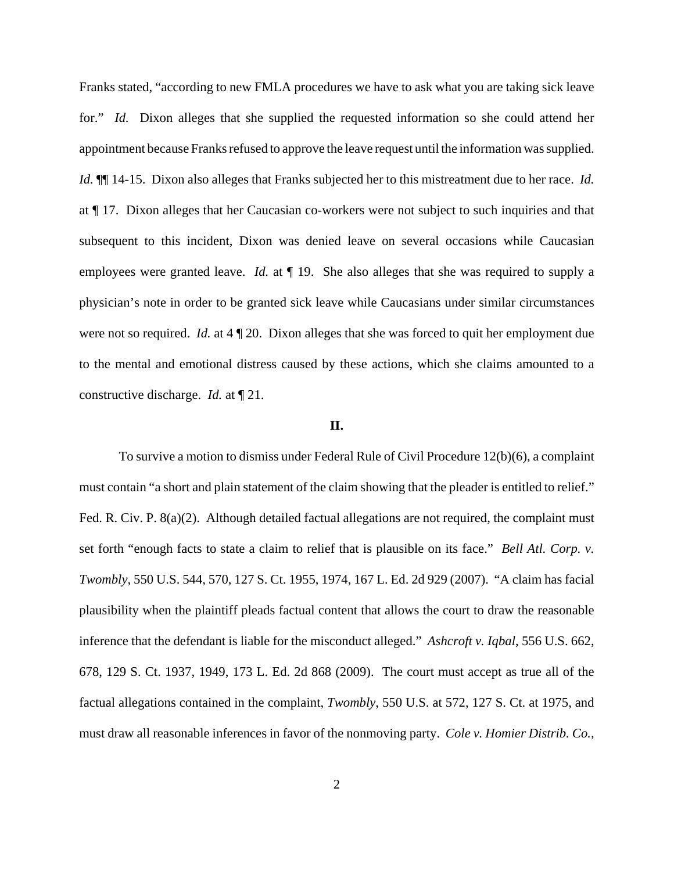Franks stated, "according to new FMLA procedures we have to ask what you are taking sick leave for." *Id.* Dixon alleges that she supplied the requested information so she could attend her appointment because Franks refused to approve the leave request until the information was supplied. *Id.* ¶¶ 14-15. Dixon also alleges that Franks subjected her to this mistreatment due to her race. *Id.* at ¶ 17. Dixon alleges that her Caucasian co-workers were not subject to such inquiries and that subsequent to this incident, Dixon was denied leave on several occasions while Caucasian employees were granted leave. *Id.* at  $\P$  19. She also alleges that she was required to supply a physician's note in order to be granted sick leave while Caucasians under similar circumstances were not so required. *Id.* at 4  $\P$  20. Dixon alleges that she was forced to quit her employment due to the mental and emotional distress caused by these actions, which she claims amounted to a constructive discharge. *Id.* at ¶ 21.

## **II.**

To survive a motion to dismiss under Federal Rule of Civil Procedure 12(b)(6), a complaint must contain "a short and plain statement of the claim showing that the pleader is entitled to relief." Fed. R. Civ. P. 8(a)(2). Although detailed factual allegations are not required, the complaint must set forth "enough facts to state a claim to relief that is plausible on its face." *Bell Atl. Corp. v. Twombly*, 550 U.S. 544, 570, 127 S. Ct. 1955, 1974, 167 L. Ed. 2d 929 (2007). "A claim has facial plausibility when the plaintiff pleads factual content that allows the court to draw the reasonable inference that the defendant is liable for the misconduct alleged." *Ashcroft v. Iqbal*, 556 U.S. 662, 678, 129 S. Ct. 1937, 1949, 173 L. Ed. 2d 868 (2009). The court must accept as true all of the factual allegations contained in the complaint, *Twombly*, 550 U.S. at 572, 127 S. Ct. at 1975, and must draw all reasonable inferences in favor of the nonmoving party. *Cole v. Homier Distrib. Co.,*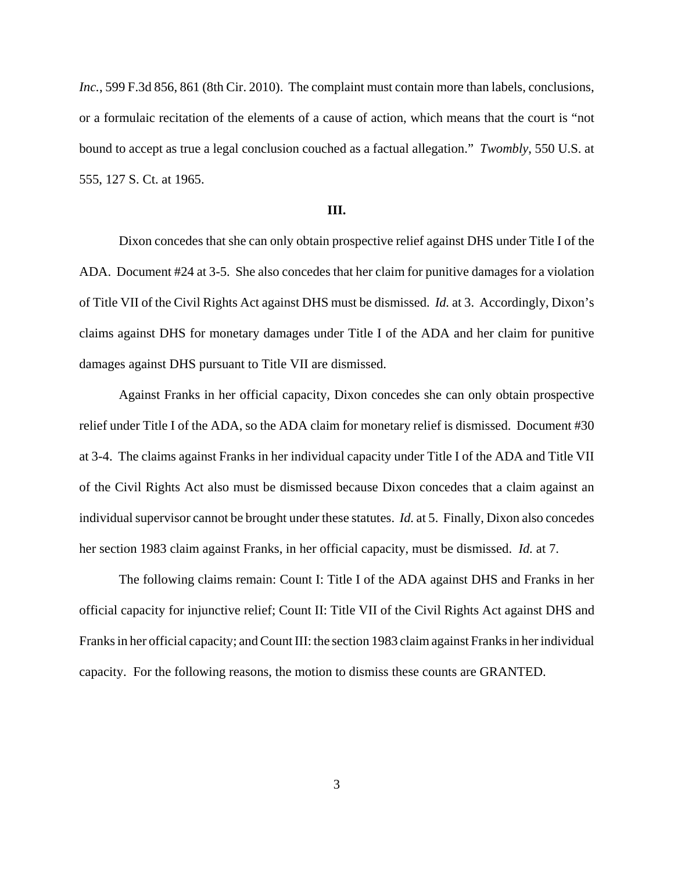*Inc.*, 599 F.3d 856, 861 (8th Cir. 2010). The complaint must contain more than labels, conclusions, or a formulaic recitation of the elements of a cause of action, which means that the court is "not bound to accept as true a legal conclusion couched as a factual allegation." *Twombly*, 550 U.S. at 555, 127 S. Ct. at 1965.

### **III.**

Dixon concedes that she can only obtain prospective relief against DHS under Title I of the ADA. Document #24 at 3-5. She also concedes that her claim for punitive damages for a violation of Title VII of the Civil Rights Act against DHS must be dismissed. *Id.* at 3. Accordingly, Dixon's claims against DHS for monetary damages under Title I of the ADA and her claim for punitive damages against DHS pursuant to Title VII are dismissed.

Against Franks in her official capacity, Dixon concedes she can only obtain prospective relief under Title I of the ADA, so the ADA claim for monetary relief is dismissed. Document #30 at 3-4. The claims against Franks in her individual capacity under Title I of the ADA and Title VII of the Civil Rights Act also must be dismissed because Dixon concedes that a claim against an individual supervisor cannot be brought under these statutes. *Id.* at 5. Finally, Dixon also concedes her section 1983 claim against Franks, in her official capacity, must be dismissed. *Id.* at 7.

The following claims remain: Count I: Title I of the ADA against DHS and Franks in her official capacity for injunctive relief; Count II: Title VII of the Civil Rights Act against DHS and Franks in her official capacity; and Count III: the section 1983 claim against Franks in her individual capacity. For the following reasons, the motion to dismiss these counts are GRANTED.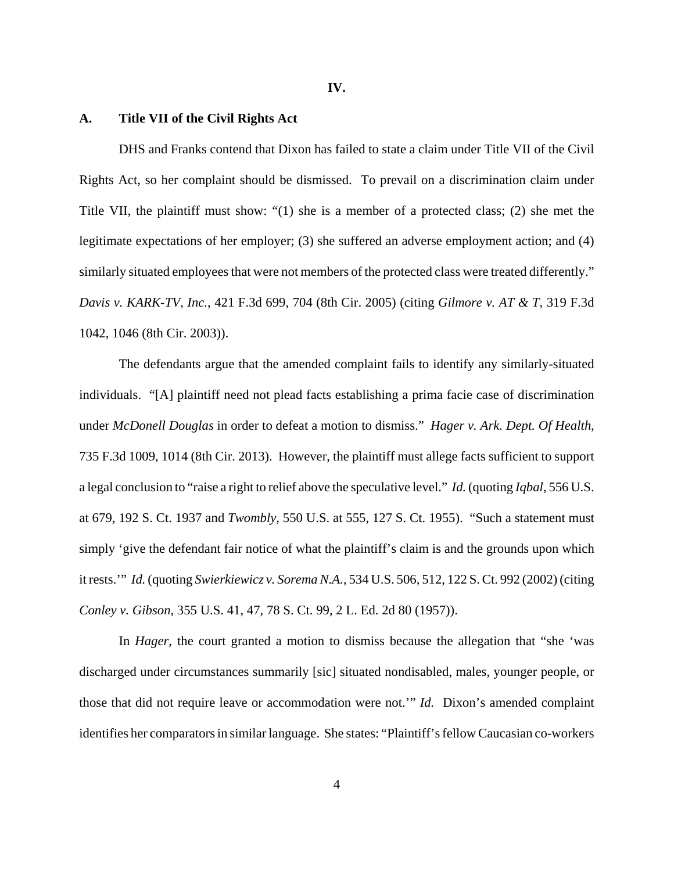#### **IV.**

## **A. Title VII of the Civil Rights Act**

DHS and Franks contend that Dixon has failed to state a claim under Title VII of the Civil Rights Act, so her complaint should be dismissed. To prevail on a discrimination claim under Title VII, the plaintiff must show: "(1) she is a member of a protected class; (2) she met the legitimate expectations of her employer; (3) she suffered an adverse employment action; and (4) similarly situated employees that were not members of the protected class were treated differently." *Davis v. KARK-TV, Inc.*, 421 F.3d 699, 704 (8th Cir. 2005) (citing *Gilmore v. AT & T*, 319 F.3d 1042, 1046 (8th Cir. 2003)).

The defendants argue that the amended complaint fails to identify any similarly-situated individuals. "[A] plaintiff need not plead facts establishing a prima facie case of discrimination under *McDonell Douglas* in order to defeat a motion to dismiss." *Hager v. Ark. Dept. Of Health*, 735 F.3d 1009, 1014 (8th Cir. 2013). However, the plaintiff must allege facts sufficient to support a legal conclusion to "raise a right to relief above the speculative level." *Id.* (quoting *Iqbal*, 556 U.S. at 679, 192 S. Ct. 1937 and *Twombly*, 550 U.S. at 555, 127 S. Ct. 1955). "Such a statement must simply 'give the defendant fair notice of what the plaintiff's claim is and the grounds upon which it rests.'" *Id.* (quoting *Swierkiewicz v. Sorema N.A.*, 534 U.S. 506, 512, 122 S. Ct. 992 (2002) (citing *Conley v. Gibson*, 355 U.S. 41, 47, 78 S. Ct. 99, 2 L. Ed. 2d 80 (1957)).

In *Hager*, the court granted a motion to dismiss because the allegation that "she 'was discharged under circumstances summarily [sic] situated nondisabled, males, younger people, or those that did not require leave or accommodation were not.'" *Id.* Dixon's amended complaint identifies her comparators in similar language. She states: "Plaintiff's fellow Caucasian co-workers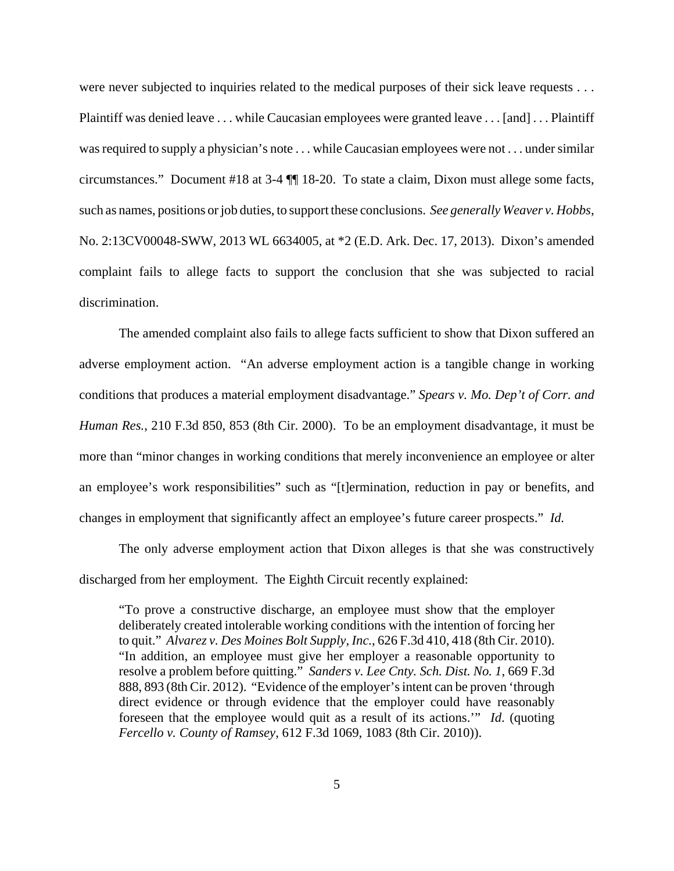were never subjected to inquiries related to the medical purposes of their sick leave requests . . . Plaintiff was denied leave . . . while Caucasian employees were granted leave . . . [and] . . . Plaintiff was required to supply a physician's note . . . while Caucasian employees were not . . . under similar circumstances." Document #18 at 3-4 ¶¶ 18-20. To state a claim, Dixon must allege some facts, such as names, positions or job duties, to support these conclusions. *See generally Weaver v. Hobbs*, No. 2:13CV00048-SWW, 2013 WL 6634005, at \*2 (E.D. Ark. Dec. 17, 2013). Dixon's amended complaint fails to allege facts to support the conclusion that she was subjected to racial discrimination.

The amended complaint also fails to allege facts sufficient to show that Dixon suffered an adverse employment action. "An adverse employment action is a tangible change in working conditions that produces a material employment disadvantage." *Spears v. Mo. Dep't of Corr. and Human Res.*, 210 F.3d 850, 853 (8th Cir. 2000). To be an employment disadvantage, it must be more than "minor changes in working conditions that merely inconvenience an employee or alter an employee's work responsibilities" such as "[t]ermination, reduction in pay or benefits, and changes in employment that significantly affect an employee's future career prospects." *Id.*

The only adverse employment action that Dixon alleges is that she was constructively discharged from her employment. The Eighth Circuit recently explained:

"To prove a constructive discharge, an employee must show that the employer deliberately created intolerable working conditions with the intention of forcing her to quit." *Alvarez v. Des Moines Bolt Supply, Inc.*, 626 F.3d 410, 418 (8th Cir. 2010). "In addition, an employee must give her employer a reasonable opportunity to resolve a problem before quitting." *Sanders v. Lee Cnty. Sch. Dist. No. 1*, 669 F.3d 888, 893 (8th Cir. 2012). "Evidence of the employer's intent can be proven 'through direct evidence or through evidence that the employer could have reasonably foreseen that the employee would quit as a result of its actions.'" *Id*. (quoting *Fercello v. County of Ramsey*, 612 F.3d 1069, 1083 (8th Cir. 2010)).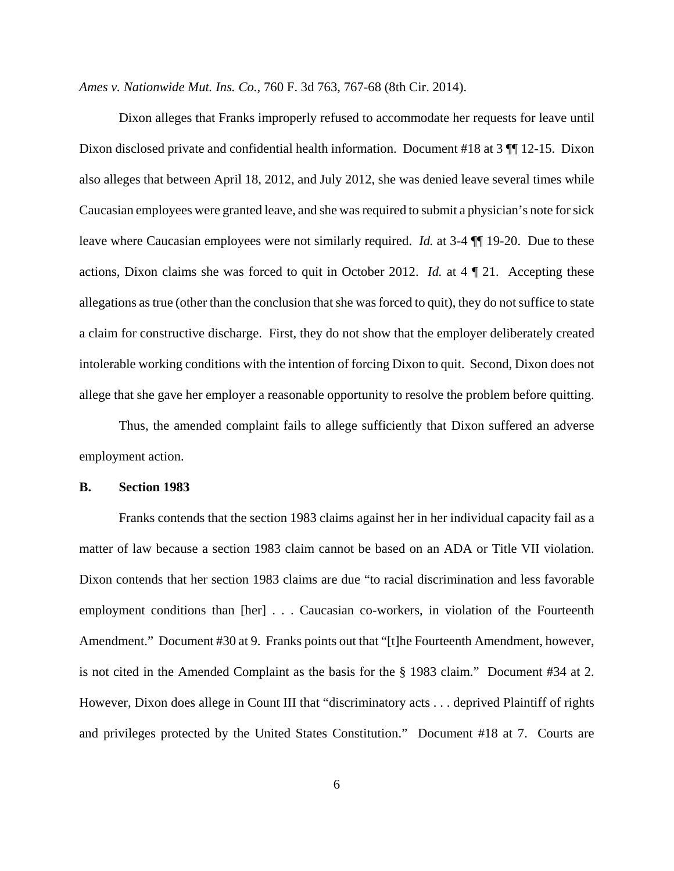*Ames v. Nationwide Mut. Ins. Co.*, 760 F. 3d 763, 767-68 (8th Cir. 2014).

Dixon alleges that Franks improperly refused to accommodate her requests for leave until Dixon disclosed private and confidential health information. Document #18 at 3 ¶¶ 12-15. Dixon also alleges that between April 18, 2012, and July 2012, she was denied leave several times while Caucasian employees were granted leave, and she was required to submit a physician's note for sick leave where Caucasian employees were not similarly required. *Id.* at 3-4 ¶¶ 19-20. Due to these actions, Dixon claims she was forced to quit in October 2012. *Id.* at 4 ¶ 21. Accepting these allegations as true (other than the conclusion that she was forced to quit), they do not suffice to state a claim for constructive discharge. First, they do not show that the employer deliberately created intolerable working conditions with the intention of forcing Dixon to quit. Second, Dixon does not allege that she gave her employer a reasonable opportunity to resolve the problem before quitting.

Thus, the amended complaint fails to allege sufficiently that Dixon suffered an adverse employment action.

### **B. Section 1983**

Franks contends that the section 1983 claims against her in her individual capacity fail as a matter of law because a section 1983 claim cannot be based on an ADA or Title VII violation. Dixon contends that her section 1983 claims are due "to racial discrimination and less favorable employment conditions than [her] . . . Caucasian co-workers, in violation of the Fourteenth Amendment." Document #30 at 9. Franks points out that "[t]he Fourteenth Amendment, however, is not cited in the Amended Complaint as the basis for the § 1983 claim." Document #34 at 2. However, Dixon does allege in Count III that "discriminatory acts . . . deprived Plaintiff of rights and privileges protected by the United States Constitution." Document #18 at 7. Courts are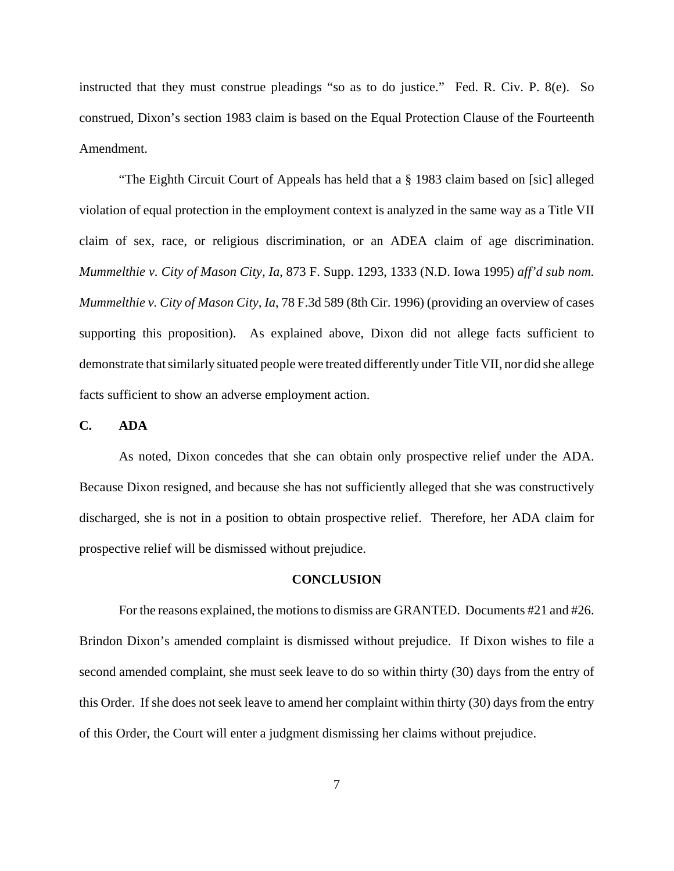instructed that they must construe pleadings "so as to do justice." Fed. R. Civ. P. 8(e). So construed, Dixon's section 1983 claim is based on the Equal Protection Clause of the Fourteenth Amendment.

"The Eighth Circuit Court of Appeals has held that a § 1983 claim based on [sic] alleged violation of equal protection in the employment context is analyzed in the same way as a Title VII claim of sex, race, or religious discrimination, or an ADEA claim of age discrimination. *Mummelthie v. City of Mason City, Ia*, 873 F. Supp. 1293, 1333 (N.D. Iowa 1995) *aff'd sub nom. Mummelthie v. City of Mason City, Ia*, 78 F.3d 589 (8th Cir. 1996) (providing an overview of cases supporting this proposition). As explained above, Dixon did not allege facts sufficient to demonstrate that similarly situated people were treated differently under Title VII, nor did she allege facts sufficient to show an adverse employment action.

## **C. ADA**

As noted, Dixon concedes that she can obtain only prospective relief under the ADA. Because Dixon resigned, and because she has not sufficiently alleged that she was constructively discharged, she is not in a position to obtain prospective relief. Therefore, her ADA claim for prospective relief will be dismissed without prejudice.

## **CONCLUSION**

For the reasons explained, the motions to dismiss are GRANTED. Documents #21 and #26. Brindon Dixon's amended complaint is dismissed without prejudice. If Dixon wishes to file a second amended complaint, she must seek leave to do so within thirty (30) days from the entry of this Order. If she does not seek leave to amend her complaint within thirty (30) days from the entry of this Order, the Court will enter a judgment dismissing her claims without prejudice.